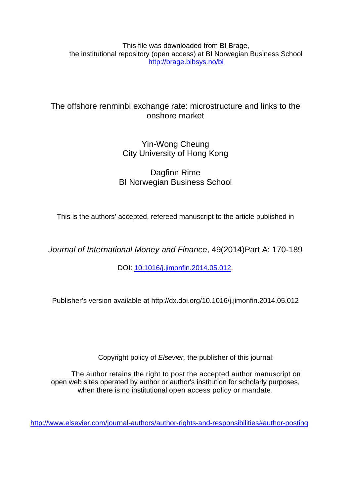This file was downloaded from BI Brage, the institutional repository (open access) at BI Norwegian Business School http://brage.bibsys.no/bi

# The offshore renminbi exchange rate: microstructure and links to the onshore market

# Yin-Wong Cheung City University of Hong Kong

# Dagfinn Rime BI Norwegian Business School

This is the authors' accepted, refereed manuscript to the article published in

*Journal of International Money and Finance*, 49(2014)Part A: 170-189

DOI: [10.1016/j.jimonfin.2014.05.012.](http://dx.doi.org.ezproxy.library.bi.no/10.1016/j.jimonfin.2014.05.012)

Publisher's version available at http://dx.doi.org[/10.1016/j.jimonfin.2014.05.012](http://dx.doi.org.ezproxy.library.bi.no/10.1016/j.jimonfin.2014.05.012)

Copyright policy of *Elsevier,* the publisher of this journal:

The author retains the right to post the accepted author manuscript on open web sites operated by author or author's institution for scholarly purposes, when there is no institutional open access policy or mandate.

[http://www.elsevier.com/journal-authors/author-rights-and-responsibilities#author-posting](http://www.elsevier.com/journal-authors/author-rights-and-responsibilities%23author-posting)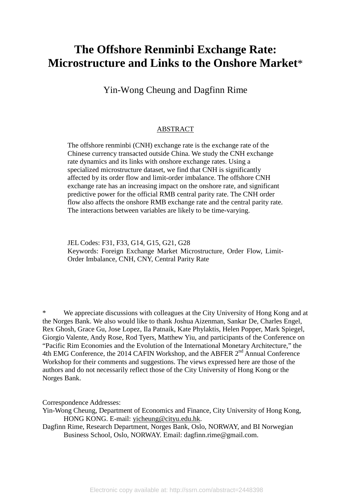# **The Offshore Renminbi Exchange Rate: Microstructure and Links to the Onshore Market**\*

Yin-Wong Cheung and Dagfinn Rime

# ABSTRACT

The offshore renminbi (CNH) exchange rate is the exchange rate of the Chinese currency transacted outside China. We study the CNH exchange rate dynamics and its links with onshore exchange rates. Using a specialized microstructure dataset, we find that CNH is significantly affected by its order flow and limit-order imbalance. The offshore CNH exchange rate has an increasing impact on the onshore rate, and significant predictive power for the official RMB central parity rate. The CNH order flow also affects the onshore RMB exchange rate and the central parity rate. The interactions between variables are likely to be time-varying.

JEL Codes: F31, F33, G14, G15, G21, G28 Keywords: Foreign Exchange Market Microstructure, Order Flow, Limit-Order Imbalance, CNH, CNY, Central Parity Rate

\* We appreciate discussions with colleagues at the City University of Hong Kong and at the Norges Bank. We also would like to thank Joshua Aizenman, Sankar De, Charles Engel, Rex Ghosh, Grace Gu, Jose Lopez, Ila Patnaik, Kate Phylaktis, Helen Popper, Mark Spiegel, Giorgio Valente, Andy Rose, Rod Tyers, Matthew Yiu, and participants of the Conference on "Pacific Rim Economies and the Evolution of the International Monetary Architecture," the 4th EMG Conference, the 2014 CAFIN Workshop, and the ABFER  $2<sup>nd</sup>$  Annual Conference Workshop for their comments and suggestions. The views expressed here are those of the authors and do not necessarily reflect those of the City University of Hong Kong or the Norges Bank.

Correspondence Addresses:

Yin-Wong Cheung, Department of Economics and Finance, City University of Hong Kong, HONG KONG. E-mail: [yicheung@cityu.edu.hk.](mailto:yicheung@cityu.edu.hk)

Dagfinn Rime, Research Department, Norges Bank, Oslo, NORWAY, and BI Norwegian Business School, Oslo, NORWAY. Email: dagfinn.rime@gmail.com.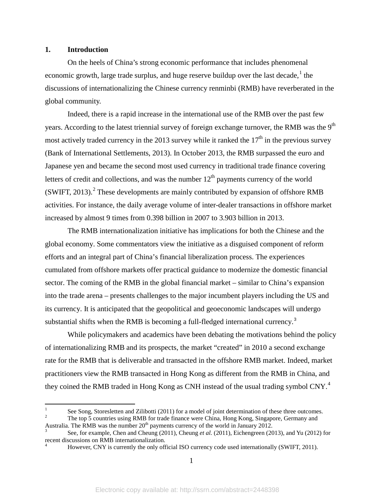#### **1. Introduction**

 $\overline{a}$ 

On the heels of China's strong economic performance that includes phenomenal economic growth, large trade surplus, and huge reserve buildup over the last decade.<sup>[1](#page-2-0)</sup> the discussions of internationalizing the Chinese currency renminbi (RMB) have reverberated in the global community.

Indeed, there is a rapid increase in the international use of the RMB over the past few years. According to the latest triennial survey of foreign exchange turnover, the RMB was the 9<sup>th</sup> most actively traded currency in the 2013 survey while it ranked the  $17<sup>th</sup>$  in the previous survey (Bank of International Settlements, 2013). In October 2013, the RMB surpassed the euro and Japanese yen and became the second most used currency in traditional trade finance covering letters of credit and collections, and was the number  $12<sup>th</sup>$  payments currency of the world (SWIFT, [2](#page-2-1)013).<sup>2</sup> These developments are mainly contributed by expansion of offshore RMB activities. For instance, the daily average volume of inter-dealer transactions in offshore market increased by almost 9 times from 0.398 billion in 2007 to 3.903 billion in 2013.

The RMB internationalization initiative has implications for both the Chinese and the global economy. Some commentators view the initiative as a disguised component of reform efforts and an integral part of China's financial liberalization process. The experiences cumulated from offshore markets offer practical guidance to modernize the domestic financial sector. The coming of the RMB in the global financial market – similar to China's expansion into the trade arena – presents challenges to the major incumbent players including the US and its currency. It is anticipated that the geopolitical and geoeconomic landscapes will undergo substantial shifts when the RMB is becoming a full-fledged international currency.<sup>[3](#page-2-2)</sup>

While policymakers and academics have been debating the motivations behind the policy of internationalizing RMB and its prospects, the market "created" in 2010 a second exchange rate for the RMB that is deliverable and transacted in the offshore RMB market. Indeed, market practitioners view the RMB transacted in Hong Kong as different from the RMB in China, and they coined the RMB traded in Hong Kong as CNH instead of the usual trading symbol CNY.<sup>[4](#page-2-3)</sup>

<span id="page-2-1"></span><span id="page-2-0"></span>

<sup>&</sup>lt;sup>1</sup> See Song, Storesletten and Zilibotti (2011) for a model of joint determination of these three outcomes.<br><sup>2</sup> The top 5 countries using RMB for trade finance were China, Hong Kong, Singapore, Germany and Australia. The

<span id="page-2-2"></span>See, for example, Chen and Cheung (2011), Cheung *et al.* (2011), Eichengreen (2013), and Yu (2012) for recent discussions on RMB internationalization.

<span id="page-2-3"></span><sup>4</sup> However, CNY is currently the only official ISO currency code used internationally (SWIFT, 2011).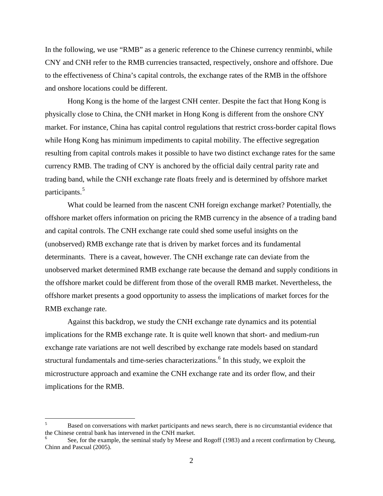In the following, we use "RMB" as a generic reference to the Chinese currency renminbi, while CNY and CNH refer to the RMB currencies transacted, respectively, onshore and offshore. Due to the effectiveness of China's capital controls, the exchange rates of the RMB in the offshore and onshore locations could be different.

Hong Kong is the home of the largest CNH center. Despite the fact that Hong Kong is physically close to China, the CNH market in Hong Kong is different from the onshore CNY market. For instance, China has capital control regulations that restrict cross-border capital flows while Hong Kong has minimum impediments to capital mobility. The effective segregation resulting from capital controls makes it possible to have two distinct exchange rates for the same currency RMB. The trading of CNY is anchored by the official daily central parity rate and trading band, while the CNH exchange rate floats freely and is determined by offshore market participants.<sup>[5](#page-3-0)</sup>

What could be learned from the nascent CNH foreign exchange market? Potentially, the offshore market offers information on pricing the RMB currency in the absence of a trading band and capital controls. The CNH exchange rate could shed some useful insights on the (unobserved) RMB exchange rate that is driven by market forces and its fundamental determinants. There is a caveat, however. The CNH exchange rate can deviate from the unobserved market determined RMB exchange rate because the demand and supply conditions in the offshore market could be different from those of the overall RMB market. Nevertheless, the offshore market presents a good opportunity to assess the implications of market forces for the RMB exchange rate.

Against this backdrop, we study the CNH exchange rate dynamics and its potential implications for the RMB exchange rate. It is quite well known that short- and medium-run exchange rate variations are not well described by exchange rate models based on standard structural fundamentals and time-series characterizations. [6](#page-3-1) In this study, we exploit the microstructure approach and examine the CNH exchange rate and its order flow, and their implications for the RMB.

<span id="page-3-0"></span><sup>5</sup> Based on conversations with market participants and news search, there is no circumstantial evidence that the Chinese central bank has intervened in the CNH market.<br><sup>6</sup> See, for the example, the seminal study by Meese and Rogoff (1983) and a recent confirmation by Cheung,

<span id="page-3-1"></span>Chinn and Pascual (2005).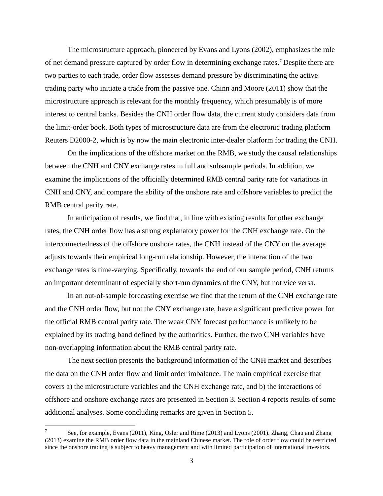The microstructure approach, pioneered by Evans and Lyons (2002), emphasizes the role of net demand pressure captured by order flow in determining exchange rates. [7](#page-4-0) Despite there are two parties to each trade, order flow assesses demand pressure by discriminating the active trading party who initiate a trade from the passive one. Chinn and Moore (2011) show that the microstructure approach is relevant for the monthly frequency, which presumably is of more interest to central banks. Besides the CNH order flow data, the current study considers data from the limit-order book. Both types of microstructure data are from the electronic trading platform Reuters D2000-2, which is by now the main electronic inter-dealer platform for trading the CNH.

On the implications of the offshore market on the RMB, we study the causal relationships between the CNH and CNY exchange rates in full and subsample periods. In addition, we examine the implications of the officially determined RMB central parity rate for variations in CNH and CNY, and compare the ability of the onshore rate and offshore variables to predict the RMB central parity rate.

In anticipation of results, we find that, in line with existing results for other exchange rates, the CNH order flow has a strong explanatory power for the CNH exchange rate. On the interconnectedness of the offshore onshore rates, the CNH instead of the CNY on the average adjusts towards their empirical long-run relationship. However, the interaction of the two exchange rates is time-varying. Specifically, towards the end of our sample period, CNH returns an important determinant of especially short-run dynamics of the CNY, but not vice versa.

In an out-of-sample forecasting exercise we find that the return of the CNH exchange rate and the CNH order flow, but not the CNY exchange rate, have a significant predictive power for the official RMB central parity rate. The weak CNY forecast performance is unlikely to be explained by its trading band defined by the authorities. Further, the two CNH variables have non-overlapping information about the RMB central parity rate.

The next section presents the background information of the CNH market and describes the data on the CNH order flow and limit order imbalance. The main empirical exercise that covers a) the microstructure variables and the CNH exchange rate, and b) the interactions of offshore and onshore exchange rates are presented in Section 3. Section 4 reports results of some additional analyses. Some concluding remarks are given in Section 5.

<span id="page-4-0"></span><sup>7</sup> See, for example, Evans (2011), King, Osler and Rime (2013) and Lyons (2001). Zhang, Chau and Zhang (2013) examine the RMB order flow data in the mainland Chinese market. The role of order flow could be restricted since the onshore trading is subject to heavy management and with limited participation of international investors.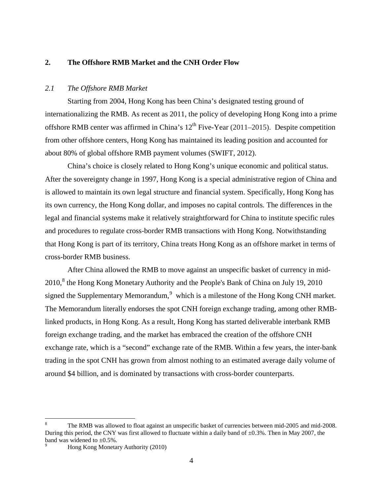## **2. The Offshore RMB Market and the CNH Order Flow**

#### *2.1 The Offshore RMB Market*

Starting from 2004, Hong Kong has been China's designated testing ground of internationalizing the RMB. As recent as 2011, the policy of developing Hong Kong into a prime offshore RMB center was affirmed in China's  $12<sup>th</sup>$  Five-Year (2011–2015). Despite competition from other offshore centers, Hong Kong has maintained its leading position and accounted for about 80% of global offshore RMB payment volumes (SWIFT, 2012).

China's choice is closely related to Hong Kong's unique economic and political status. After the sovereignty change in 1997, Hong Kong is a special administrative region of China and is allowed to maintain its own legal structure and financial system. Specifically, Hong Kong has its own currency, the Hong Kong dollar, and imposes no capital controls. The differences in the legal and financial systems make it relatively straightforward for China to institute specific rules and procedures to regulate cross-border RMB transactions with Hong Kong. Notwithstanding that Hong Kong is part of its territory, China treats Hong Kong as an offshore market in terms of cross-border RMB business.

After China allowed the RMB to move against an unspecific basket of currency in mid-2010,<sup>[8](#page-5-0)</sup> the Hong Kong Monetary Authority and the People's Bank of China on July 19, 2010 signed the Supplementary Memorandum,  $9$  which is a milestone of the Hong Kong CNH market. The Memorandum literally endorses the spot CNH foreign exchange trading, among other RMBlinked products, in Hong Kong. As a result, Hong Kong has started deliverable interbank RMB foreign exchange trading, and the market has embraced the creation of the offshore CNH exchange rate, which is a "second" exchange rate of the RMB. Within a few years, the inter-bank trading in the spot CNH has grown from almost nothing to an estimated average daily volume of around \$4 billion, and is dominated by transactions with cross-border counterparts.

<span id="page-5-0"></span>The RMB was allowed to float against an unspecific basket of currencies between mid-2005 and mid-2008. During this period, the CNY was first allowed to fluctuate within a daily band of  $\pm 0.3\%$ . Then in May 2007, the band was widened to  $\pm 0.5\%$ .

<span id="page-5-1"></span><sup>9</sup> Hong Kong Monetary Authority (2010)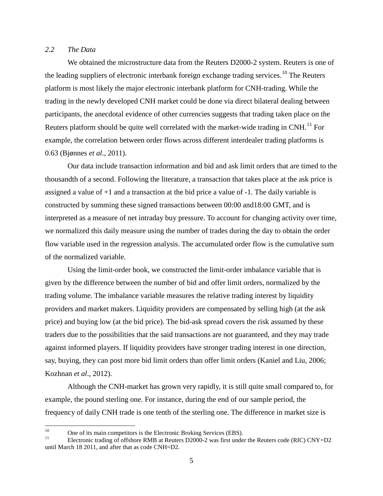# *2.2 The Data*

We obtained the microstructure data from the Reuters D2000-2 system. Reuters is one of the leading suppliers of electronic interbank foreign exchange trading services.<sup>[10](#page-6-0)</sup> The Reuters platform is most likely the major electronic interbank platform for CNH-trading. While the trading in the newly developed CNH market could be done via direct bilateral dealing between participants, the anecdotal evidence of other currencies suggests that trading taken place on the Reuters platform should be quite well correlated with the market-wide trading in CNH.<sup>[11](#page-6-1)</sup> For example, the correlation between order flows across different interdealer trading platforms is 0.63 (Bjønnes *et al*., 2011).

Our data include transaction information and bid and ask limit orders that are timed to the thousandth of a second. Following the literature, a transaction that takes place at the ask price is assigned a value of +1 and a transaction at the bid price a value of -1. The daily variable is constructed by summing these signed transactions between 00:00 and18:00 GMT, and is interpreted as a measure of net intraday buy pressure. To account for changing activity over time, we normalized this daily measure using the number of trades during the day to obtain the order flow variable used in the regression analysis. The accumulated order flow is the cumulative sum of the normalized variable.

Using the limit-order book, we constructed the limit-order imbalance variable that is given by the difference between the number of bid and offer limit orders, normalized by the trading volume. The imbalance variable measures the relative trading interest by liquidity providers and market makers. Liquidity providers are compensated by selling high (at the ask price) and buying low (at the bid price). The bid-ask spread covers the risk assumed by these traders due to the possibilities that the said transactions are not guaranteed, and they may trade against informed players. If liquidity providers have stronger trading interest in one direction, say, buying, they can post more bid limit orders than offer limit orders (Kaniel and Liu, 2006; Kozhnan *et al*., 2012).

Although the CNH-market has grown very rapidly, it is still quite small compared to, for example, the pound sterling one. For instance, during the end of our sample period, the frequency of daily CNH trade is one tenth of the sterling one. The difference in market size is

 $10<sup>10</sup>$ 

<span id="page-6-1"></span><span id="page-6-0"></span><sup>&</sup>lt;sup>10</sup> One of its main competitors is the Electronic Broking Services (EBS).<br><sup>11</sup> Electronic trading of offshore RMB at Reuters D2000-2 was first under the Reuters code (RIC) CNY=D2 until March 18 2011, and after that as code CNH=D2.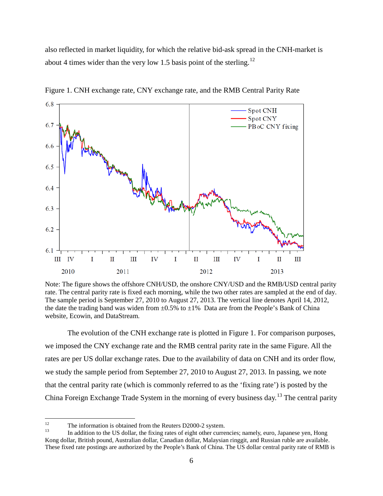also reflected in market liquidity, for which the relative bid-ask spread in the CNH-market is about 4 times wider than the very low 1.5 basis point of the sterling.<sup>[12](#page-7-0)</sup>



Figure 1. CNH exchange rate, CNY exchange rate, and the RMB Central Parity Rate

Note: The figure shows the offshore CNH/USD, the onshore CNY/USD and the RMB/USD central parity rate. The central parity rate is fixed each morning, while the two other rates are sampled at the end of day. The sample period is September 27, 2010 to August 27, 2013. The vertical line denotes April 14, 2012, the date the trading band was widen from  $\pm 0.5\%$  to  $\pm 1\%$  Data are from the People's Bank of China website, Ecowin, and DataStream.

The evolution of the CNH exchange rate is plotted in Figure 1. For comparison purposes, we imposed the CNY exchange rate and the RMB central parity rate in the same Figure. All the rates are per US dollar exchange rates. Due to the availability of data on CNH and its order flow, we study the sample period from September 27, 2010 to August 27, 2013. In passing, we note that the central parity rate (which is commonly referred to as the 'fixing rate') is posted by the China Foreign Exchange Trade System in the morning of every business day.<sup>[13](#page-7-1)</sup> The central parity

 $12\,$ 

<span id="page-7-1"></span><span id="page-7-0"></span><sup>&</sup>lt;sup>12</sup> The information is obtained from the Reuters D2000-2 system.<br><sup>13</sup> In addition to the US dollar, the fixing rates of eight other currencies; namely, euro, Japanese yen, Hong Kong dollar, British pound, Australian dollar, Canadian dollar, Malaysian ringgit, and Russian ruble are available. These fixed rate postings are authorized by the People's Bank of China. The US dollar central parity rate of RMB is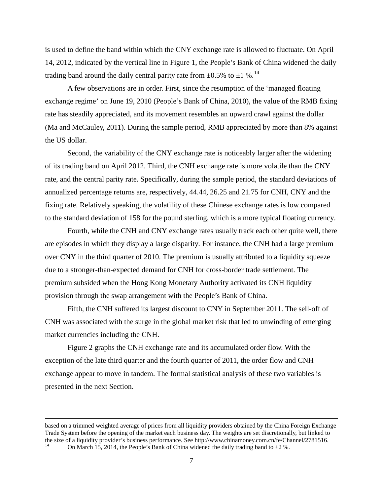is used to define the band within which the CNY exchange rate is allowed to fluctuate. On April 14, 2012, indicated by the vertical line in Figure 1, the People's Bank of China widened the daily trading band around the daily central parity rate from  $\pm 0.5\%$  to  $\pm 1\%$ .<sup>[14](#page-8-0)</sup>

A few observations are in order. First, since the resumption of the 'managed floating exchange regime' on June 19, 2010 (People's Bank of China, 2010), the value of the RMB fixing rate has steadily appreciated, and its movement resembles an upward crawl against the dollar (Ma and McCauley, 2011). During the sample period, RMB appreciated by more than 8% against the US dollar.

Second, the variability of the CNY exchange rate is noticeably larger after the widening of its trading band on April 2012. Third, the CNH exchange rate is more volatile than the CNY rate, and the central parity rate. Specifically, during the sample period, the standard deviations of annualized percentage returns are, respectively, 44.44, 26.25 and 21.75 for CNH, CNY and the fixing rate. Relatively speaking, the volatility of these Chinese exchange rates is low compared to the standard deviation of 158 for the pound sterling, which is a more typical floating currency.

Fourth, while the CNH and CNY exchange rates usually track each other quite well, there are episodes in which they display a large disparity. For instance, the CNH had a large premium over CNY in the third quarter of 2010. The premium is usually attributed to a liquidity squeeze due to a stronger-than-expected demand for CNH for cross-border trade settlement. The premium subsided when the Hong Kong Monetary Authority activated its CNH liquidity provision through the swap arrangement with the People's Bank of China.

Fifth, the CNH suffered its largest discount to CNY in September 2011. The sell-off of CNH was associated with the surge in the global market risk that led to unwinding of emerging market currencies including the CNH.

Figure 2 graphs the CNH exchange rate and its accumulated order flow. With the exception of the late third quarter and the fourth quarter of 2011, the order flow and CNH exchange appear to move in tandem. The formal statistical analysis of these two variables is presented in the next Section.

<span id="page-8-0"></span>based on a trimmed weighted average of prices from all liquidity providers obtained by the China Foreign Exchange Trade System before the opening of the market each business day. The weights are set discretionally, but linked to the size of a liquidity provider's business performance. See http://www.chinamoney.com.cn/fe/Channel/278151 On March 15, 2014, the People's Bank of China widened the daily trading band to  $\pm 2$  %.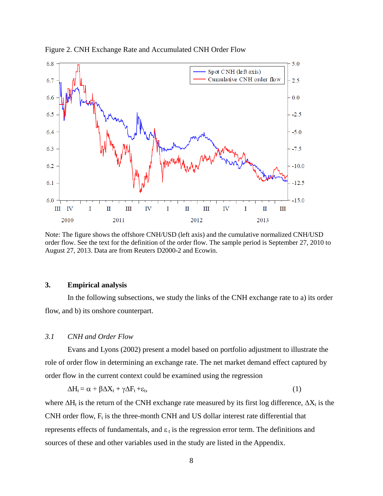

Figure 2. CNH Exchange Rate and Accumulated CNH Order Flow

Note: The figure shows the offshore CNH/USD (left axis) and the cumulative normalized CNH/USD order flow. See the text for the definition of the order flow. The sample period is September 27, 2010 to August 27, 2013. Data are from Reuters D2000-2 and Ecowin.

#### **3. Empirical analysis**

In the following subsections, we study the links of the CNH exchange rate to a) its order flow, and b) its onshore counterpart.

#### *3.1 CNH and Order Flow*

Evans and Lyons (2002) present a model based on portfolio adjustment to illustrate the role of order flow in determining an exchange rate. The net market demand effect captured by order flow in the current context could be examined using the regression

$$
\Delta H_t = \alpha + \beta \Delta X_t + \gamma \Delta F_t + \varepsilon_t, \tag{1}
$$

where  $\Delta H_t$  is the return of the CNH exchange rate measured by its first log difference,  $\Delta X_t$  is the CNH order flow,  $F_t$  is the three-month CNH and US dollar interest rate differential that represents effects of fundamentals, and  $\varepsilon_t$  is the regression error term. The definitions and sources of these and other variables used in the study are listed in the Appendix.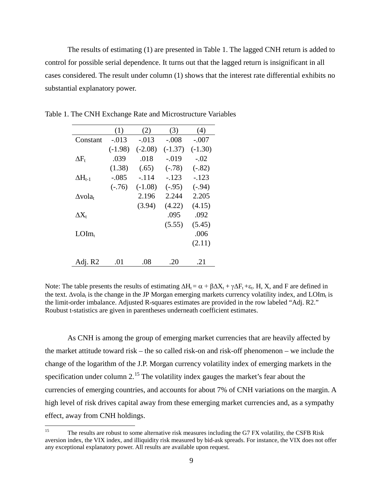The results of estimating (1) are presented in Table 1. The lagged CNH return is added to control for possible serial dependence. It turns out that the lagged return is insignificant in all cases considered. The result under column (1) shows that the interest rate differential exhibits no substantial explanatory power.

|                         | (1)       | (2)       | (3)       | (4)       |
|-------------------------|-----------|-----------|-----------|-----------|
| Constant                | $-.013$   | $-0.013$  | $-.008$   | $-.007$   |
|                         | $(-1.98)$ | $(-2.08)$ | $(-1.37)$ | $(-1.30)$ |
| $\Delta\rm{F}_{\rm{t}}$ | .039      | .018      | $-.019$   | $-.02$    |
|                         | (1.38)    | (.65)     | $(-.78)$  | $(-.82)$  |
| $\Delta H_{t-1}$        | -.085     | -.114     | -.123     | $-.123$   |
|                         | $(-.76)$  | $(-1.08)$ | $(-.95)$  | $(-.94)$  |
| $\Delta \text{vol} a_t$ |           | 2.196     | 2.244     | 2.205     |
|                         |           | (3.94)    | (4.22)    | (4.15)    |
| $\Delta X_t$            |           |           | .095      | .092      |
|                         |           |           | (5.55)    | (5.45)    |
| $LOIm_t$                |           |           |           | .006      |
|                         |           |           |           | (2.11)    |
|                         |           |           |           |           |
| Adj. R2                 | .01       | .08       | .20       | .21       |

Table 1. The CNH Exchange Rate and Microstructure Variables

Note: The table presents the results of estimating  $\Delta H_t = \alpha + \beta \Delta X_t + \gamma \Delta F_t + \epsilon_t$ . H, X, and F are defined in the text.  $\Delta$ vola<sub>t</sub> is the change in the JP Morgan emerging markets currency volatility index, and LOIm<sub>t</sub> is the limit-order imbalance. Adjusted R-squares estimates are provided in the row labeled "Adj. R2." Roubust t-statistics are given in parentheses underneath coefficient estimates.

As CNH is among the group of emerging market currencies that are heavily affected by the market attitude toward risk – the so called risk-on and risk-off phenomenon – we include the change of the logarithm of the J.P. Morgan currency volatility index of emerging markets in the specification under column 2.<sup>[15](#page-10-0)</sup> The volatility index gauges the market's fear about the currencies of emerging countries, and accounts for about 7% of CNH variations on the margin. A high level of risk drives capital away from these emerging market currencies and, as a sympathy effect, away from CNH holdings.

<span id="page-10-0"></span><sup>15</sup> The results are robust to some alternative risk measures including the G7 FX volatility, the CSFB Risk aversion index, the VIX index, and illiquidity risk measured by bid-ask spreads. For instance, the VIX does not offer any exceptional explanatory power. All results are available upon request.  $15<sup>15</sup>$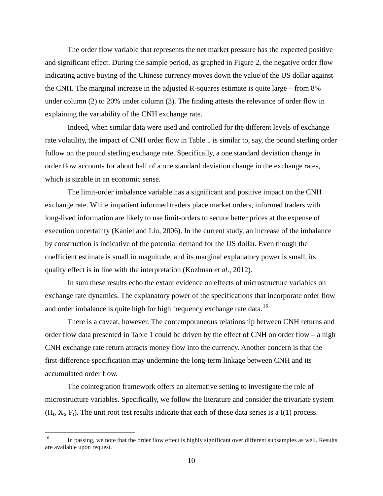The order flow variable that represents the net market pressure has the expected positive and significant effect. During the sample period, as graphed in Figure 2, the negative order flow indicating active buying of the Chinese currency moves down the value of the US dollar against the CNH. The marginal increase in the adjusted R-squares estimate is quite large – from 8% under column (2) to 20% under column (3). The finding attests the relevance of order flow in explaining the variability of the CNH exchange rate.

Indeed, when similar data were used and controlled for the different levels of exchange rate volatility, the impact of CNH order flow in Table 1 is similar to, say, the pound sterling order follow on the pound sterling exchange rate. Specifically, a one standard deviation change in order flow accounts for about half of a one standard deviation change in the exchange rates, which is sizable in an economic sense.

The limit-order imbalance variable has a significant and positive impact on the CNH exchange rate. While impatient informed traders place market orders, informed traders with long-lived information are likely to use limit-orders to secure better prices at the expense of execution uncertainty (Kaniel and Liu, 2006). In the current study, an increase of the imbalance by construction is indicative of the potential demand for the US dollar. Even though the coefficient estimate is small in magnitude, and its marginal explanatory power is small, its quality effect is in line with the interpretation (Kozhnan *et al*., 2012).

In sum these results echo the extant evidence on effects of microstructure variables on exchange rate dynamics. The explanatory power of the specifications that incorporate order flow and order imbalance is quite high for high frequency exchange rate data.<sup>[16](#page-11-0)</sup>

There is a caveat, however. The contemporaneous relationship between CNH returns and order flow data presented in Table 1 could be driven by the effect of CNH on order flow – a high CNH exchange rate return attracts money flow into the currency. Another concern is that the first-difference specification may undermine the long-term linkage between CNH and its accumulated order flow.

The cointegration framework offers an alternative setting to investigate the role of microstructure variables. Specifically, we follow the literature and consider the trivariate system  $(H_t, X_t, F_t)$ . The unit root test results indicate that each of these data series is a I(1) process.

<span id="page-11-0"></span>In passing, we note that the order flow effect is highly significant over different subsamples as well. Results are available upon request. 16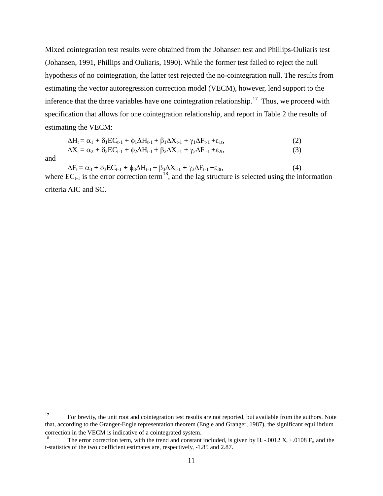Mixed cointegration test results were obtained from the Johansen test and Phillips-Ouliaris test (Johansen, 1991, Phillips and Ouliaris, 1990). While the former test failed to reject the null hypothesis of no cointegration, the latter test rejected the no-cointegration null. The results from estimating the vector autoregression correction model (VECM), however, lend support to the inference that the three variables have one cointegration relationship.<sup>[17](#page-12-0)</sup> Thus, we proceed with specification that allows for one cointegration relationship, and report in Table 2 the results of estimating the VECM:

$$
\Delta H_t = \alpha_1 + \delta_1 EC_{t-1} + \phi_1 \Delta H_{t-1} + \beta_1 \Delta X_{t-1} + \gamma_1 \Delta F_{t-1} + \varepsilon_{1t},
$$
  
\n
$$
\Delta X_t = \alpha_2 + \delta_2 EC_{t-1} + \phi_2 \Delta H_{t-1} + \beta_2 \Delta X_{t-1} + \gamma_2 \Delta F_{t-1} + \varepsilon_{2t},
$$
\n(3)

and

 $\Delta F_t = \alpha_3 + \delta_3 EC_{t-1} + \phi_3\Delta H_{t-1} + \beta_3\Delta X_{t-1} + \gamma_3\Delta F_{t-1} + \varepsilon_{3t},$  (4) where  $EC_{t-1}$  is the error correction term<sup>18</sup>, and the lag structure is selected using the information criteria AIC and SC.

<span id="page-12-0"></span><sup>17</sup> For brevity, the unit root and cointegration test results are not reported, but available from the authors. Note that, according to the Granger-Engle representation theorem (Engle and Granger, 1987), the significant equilibrium correction in the VECM is indicative of a cointegrated system.<br><sup>18</sup> The error correction term, with the trend and constant included, is given by H<sub>t</sub>-.0012 X<sub>t</sub> +.0108 F<sub>t</sub>, and the 17

<span id="page-12-1"></span>t-statistics of the two coefficient estimates are, respectively, -1.85 and 2.87.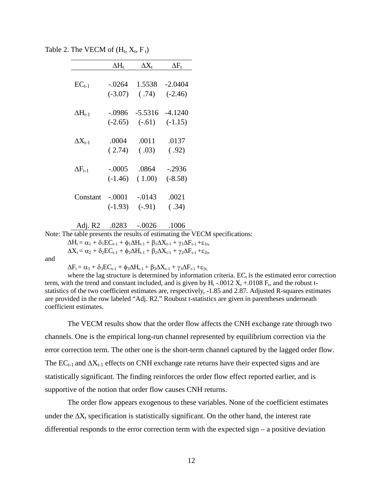Table 2. The VECM of  $(H_t, X_t, F_t)$ 

|                  | $\Delta H_{\rm t}$ | $\Delta\rm X_{t}$ | $\Delta F_t$ |
|------------------|--------------------|-------------------|--------------|
| $EC_{t-1}$       | -.0264             | 1.5538            | -2.0404      |
|                  | $(-3.07)$          | (.74)             | $(-2.46)$    |
| $\Delta H_{t-1}$ | -.0986             | -5.5316           | -4.1240      |
|                  | $(-2.65)$          | $(-.61)$          | $(-1.15)$    |
| $\Delta X_{t-1}$ | .0004              | .0011             | .0137        |
|                  | (2.74)             | (.03)             | (.92)        |
| $\Delta F_{t-1}$ | $-.0005$           | .0864             | -.2936       |
|                  | $(-1.46)$          | (1.00)            | $(-8.58)$    |
| Constant         | -.0001             | -.0143            | .0021        |
|                  | $(-1.93)$          | $(-.91)$          | (.34)        |

Adj. R2 .0283 -.0026 .1006

Note: The table presents the results of estimating the VECM specifications:

$$
\begin{aligned} \Delta H_t&=\alpha_1+\delta_1 EC_{t\text{-}1}+\varphi_1\Delta H_{t\text{-}1}+\beta_1\Delta X_{t\text{-}1}+\gamma_1\Delta F_{t\text{-}1}+\epsilon_{1t},\\ \Delta X_t&=\alpha_2+\delta_2 EC_{t\text{-}1}+\varphi_2\Delta H_{t\text{-}1}+\beta_2\Delta X_{t\text{-}1}+\gamma_2\Delta F_{t\text{-}1}+\epsilon_{2t}, \end{aligned}
$$

and

 $\Delta F_t = \alpha_3 + \delta_3 EC_{t-1} + \phi_3\Delta H_{t-1} + \beta_3\Delta X_{t-1} + \gamma_3\Delta F_{t-1} + \varepsilon_{3t}$ 

where the lag structure is determined by information criteria.  $EC<sub>t</sub>$  is the estimated error correction term, with the trend and constant included, and is given by  $H_t$  -.0012  $X_t$  +.0108  $F_t$ , and the robust tstatistics of the two coefficient estimates are, respectively, -1.85 and 2.87. Adjusted R-squares estimates are provided in the row labeled "Adj. R2." Roubust t-statistics are given in parentheses underneath coefficient estimates.

The VECM results show that the order flow affects the CNH exchange rate through two channels. One is the empirical long-run channel represented by equilibrium correction via the error correction term. The other one is the short-term channel captured by the lagged order flow. The  $EC_{t-1}$  and  $\Delta X_{t-1}$  effects on CNH exchange rate returns have their expected signs and are statistically significant. The finding reinforces the order flow effect reported earlier, and is supportive of the notion that order flow causes CNH returns.

The order flow appears exogenous to these variables. None of the coefficient estimates under the  $\Delta X_t$  specification is statistically significant. On the other hand, the interest rate differential responds to the error correction term with the expected sign – a positive deviation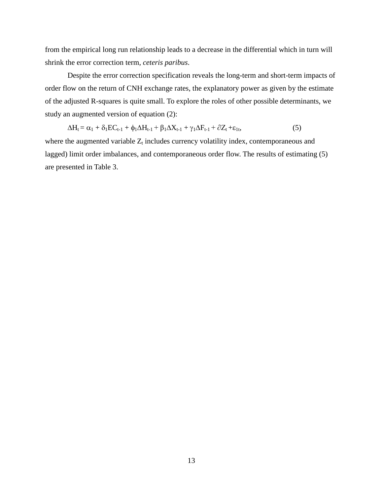from the empirical long run relationship leads to a decrease in the differential which in turn will shrink the error correction term, *ceteris paribus*.

Despite the error correction specification reveals the long-term and short-term impacts of order flow on the return of CNH exchange rates, the explanatory power as given by the estimate of the adjusted R-squares is quite small. To explore the roles of other possible determinants, we study an augmented version of equation (2):

$$
\Delta H_t = \alpha_1 + \delta_1 EC_{t-1} + \phi_1 \Delta H_{t-1} + \beta_1 \Delta X_{t-1} + \gamma_1 \Delta F_{t-1} + \partial Z_t + \varepsilon_{1t},\tag{5}
$$

where the augmented variable  $Z_t$  includes currency volatility index, contemporaneous and lagged) limit order imbalances, and contemporaneous order flow. The results of estimating (5) are presented in Table 3.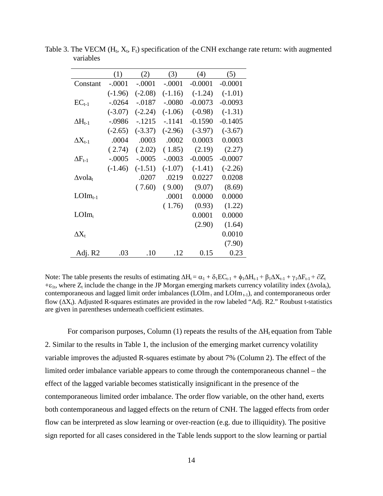|                         | (1)       | (2)       | (3)       | (4)       | (5)       |
|-------------------------|-----------|-----------|-----------|-----------|-----------|
| Constant                | $-.0001$  | $-.0001$  | $-.0001$  | $-0.0001$ | $-0.0001$ |
|                         | $(-1.96)$ | $(-2.08)$ | $(-1.16)$ | $(-1.24)$ | $(-1.01)$ |
| $EC_{t-1}$              | $-.0264$  | $-.0187$  | $-.0080$  | $-0.0073$ | $-0.0093$ |
|                         | $(-3.07)$ | $(-2.24)$ | $(-1.06)$ | $(-0.98)$ | $(-1.31)$ |
| $\Delta H_{t-1}$        | $-.0986$  | $-.1215$  | $-1141$   | $-0.1590$ | $-0.1405$ |
|                         | $(-2.65)$ | $(-3.37)$ | $(-2.96)$ | $(-3.97)$ | $(-3.67)$ |
| $\Delta X_{t-1}$        | .0004     | .0003     | .0002     | 0.0003    | 0.0003    |
|                         | (2.74)    | (2.02)    | (1.85)    | (2.19)    | (2.27)    |
| $\Delta F_{t-1}$        | $-.0005$  | $-.0005$  | $-.0003$  | $-0.0005$ | $-0.0007$ |
|                         | $(-1.46)$ | $(-1.51)$ | $(-1.07)$ | $(-1.41)$ | $(-2.26)$ |
| $\Delta \text{vol} a_t$ |           | .0207     | .0219     | 0.0227    | 0.0208    |
|                         |           | (7.60)    | (9.00)    | (9.07)    | (8.69)    |
| $LOIm_{t-1}$            |           |           | .0001     | 0.0000    | 0.0000    |
|                         |           |           | (1.76)    | (0.93)    | (1.22)    |
| $LOIm_t$                |           |           |           | 0.0001    | 0.0000    |
|                         |           |           |           | (2.90)    | (1.64)    |
| $\Delta X_t$            |           |           |           |           | 0.0010    |
|                         |           |           |           |           | (7.90)    |
| Adj. R2                 | .03       | .10       | .12       | 0.15      | 0.23      |

Table 3. The VECM  $(H_t, X_t, F_t)$  specification of the CNH exchange rate return: with augmented variables

Note: The table presents the results of estimating  $\Delta H_t = \alpha_1 + \delta_1 EC_{t-1} + \phi_1 \Delta H_{t-1} + \beta_1 \Delta X_{t-1} + \gamma_1 \Delta F_{t-1} + \partial Z_t$ + $\varepsilon_{1t}$ , where  $Z_t$  include the change in the JP Morgan emerging markets currency volatility index ( $\Delta \text{vol} a_t$ ), contemporaneous and lagged limit order imbalances  $(LOIm_t and LOIm_{t-1})$ , and contemporaneous order flow  $(\Delta X_t)$ . Adjusted R-squares estimates are provided in the row labeled "Adj. R2." Roubust t-statistics are given in parentheses underneath coefficient estimates.

For comparison purposes, Column (1) repeats the results of the  $\Delta H_t$  equation from Table 2. Similar to the results in Table 1, the inclusion of the emerging market currency volatility variable improves the adjusted R-squares estimate by about 7% (Column 2). The effect of the limited order imbalance variable appears to come through the contemporaneous channel – the effect of the lagged variable becomes statistically insignificant in the presence of the contemporaneous limited order imbalance. The order flow variable, on the other hand, exerts both contemporaneous and lagged effects on the return of CNH. The lagged effects from order flow can be interpreted as slow learning or over-reaction (e.g. due to illiquidity). The positive sign reported for all cases considered in the Table lends support to the slow learning or partial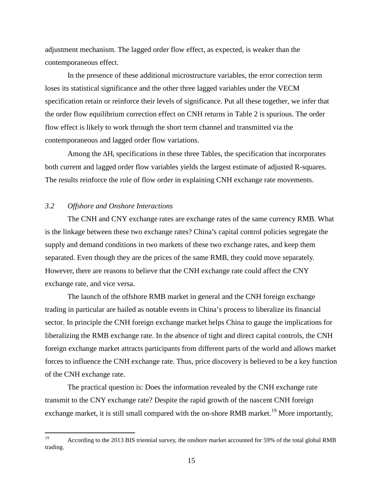adjustment mechanism. The lagged order flow effect, as expected, is weaker than the contemporaneous effect.

In the presence of these additional microstructure variables, the error correction term loses its statistical significance and the other three lagged variables under the VECM specification retain or reinforce their levels of significance. Put all these together, we infer that the order flow equilibrium correction effect on CNH returns in Table 2 is spurious. The order flow effect is likely to work through the short term channel and transmitted via the contemporaneous and lagged order flow variations.

Among the  $\Delta H_t$  specifications in these three Tables, the specification that incorporates both current and lagged order flow variables yields the largest estimate of adjusted R-squares. The results reinforce the role of flow order in explaining CNH exchange rate movements.

#### *3.2 Offshore and Onshore Interactions*

The CNH and CNY exchange rates are exchange rates of the same currency RMB. What is the linkage between these two exchange rates? China's capital control policies segregate the supply and demand conditions in two markets of these two exchange rates, and keep them separated. Even though they are the prices of the same RMB, they could move separately. However, there are reasons to believe that the CNH exchange rate could affect the CNY exchange rate, and vice versa.

The launch of the offshore RMB market in general and the CNH foreign exchange trading in particular are hailed as notable events in China's process to liberalize its financial sector. In principle the CNH foreign exchange market helps China to gauge the implications for liberalizing the RMB exchange rate. In the absence of tight and direct capital controls, the CNH foreign exchange market attracts participants from different parts of the world and allows market forces to influence the CNH exchange rate. Thus, price discovery is believed to be a key function of the CNH exchange rate.

The practical question is: Does the information revealed by the CNH exchange rate transmit to the CNY exchange rate? Despite the rapid growth of the nascent CNH foreign exchange market, it is still small compared with the on-shore RMB market.<sup>[19](#page-16-0)</sup> More importantly,

<span id="page-16-0"></span>According to the 2013 BIS triennial survey, the onshore market accounted for 59% of the total global RMB trading.  $19$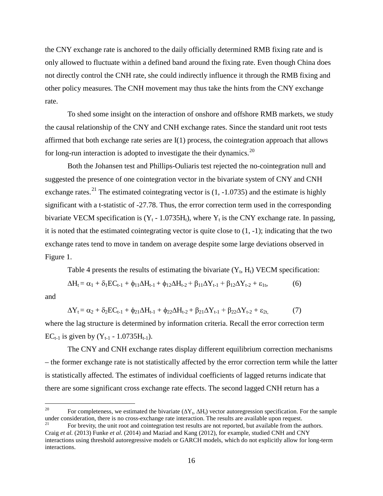the CNY exchange rate is anchored to the daily officially determined RMB fixing rate and is only allowed to fluctuate within a defined band around the fixing rate. Even though China does not directly control the CNH rate, she could indirectly influence it through the RMB fixing and other policy measures. The CNH movement may thus take the hints from the CNY exchange rate.

To shed some insight on the interaction of onshore and offshore RMB markets, we study the causal relationship of the CNY and CNH exchange rates. Since the standard unit root tests affirmed that both exchange rate series are I(1) process, the cointegration approach that allows for long-run interaction is adopted to investigate the their dynamics.<sup>[20](#page-17-0)</sup>

Both the Johansen test and Phillips-Ouliaris test rejected the no-cointegration null and suggested the presence of one cointegration vector in the bivariate system of CNY and CNH exchange rates.<sup>[21](#page-17-1)</sup> The estimated cointegrating vector is  $(1, -1.0735)$  and the estimate is highly significant with a t-statistic of -27.78. Thus, the error correction term used in the corresponding bivariate VECM specification is  $(Y_t - 1.0735H_t)$ , where  $Y_t$  is the CNY exchange rate. In passing, it is noted that the estimated cointegrating vector is quite close to (1, -1); indicating that the two exchange rates tend to move in tandem on average despite some large deviations observed in Figure 1.

Table 4 presents the results of estimating the bivariate  $(Y_t, H_t)$  VECM specification:

$$
\Delta H_t = \alpha_1 + \delta_1 EC_{t-1} + \phi_{11}\Delta H_{t-1} + \phi_{12}\Delta H_{t-2} + \beta_{11}\Delta Y_{t-1} + \beta_{12}\Delta Y_{t-2} + \varepsilon_{1t},
$$
(6)

and

$$
\Delta Y_{t} = \alpha_{2} + \delta_{2} EC_{t-1} + \phi_{21}\Delta H_{t-1} + \phi_{22}\Delta H_{t-2} + \beta_{21}\Delta Y_{t-1} + \beta_{22}\Delta Y_{t-2} + \epsilon_{2t},
$$
(7)

where the lag structure is determined by information criteria. Recall the error correction term  $EC_{t-1}$  is given by  $(Y_{t-1} - 1.0735H_{t-1})$ .

The CNY and CNH exchange rates display different equilibrium correction mechanisms – the former exchange rate is not statistically affected by the error correction term while the latter is statistically affected. The estimates of individual coefficients of lagged returns indicate that there are some significant cross exchange rate effects. The second lagged CNH return has a

<span id="page-17-0"></span><sup>&</sup>lt;sup>20</sup> For completeness, we estimated the bivariate ( $\Delta Y_t$ ,  $\Delta H_t$ ) vector autoregression specification. For the sample under consideration, there is no cross-exchange rate interaction. The results are available upon reque 20

<span id="page-17-1"></span>For brevity, the unit root and cointegration test results are not reported, but available from the authors. Craig *et al.* (2013) Funke *et al.* (2014) and Maziad and Kang (2012), for example, studied CNH and CNY interactions using threshold autoregressive models or GARCH models, which do not explicitly allow for long-term interactions.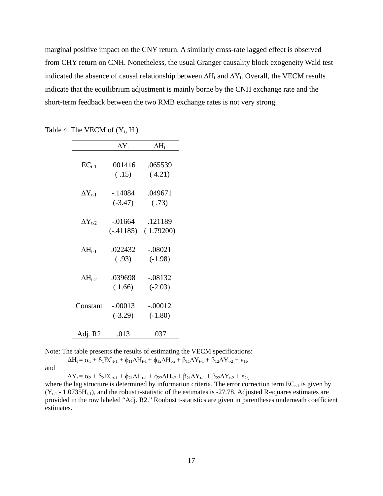marginal positive impact on the CNY return. A similarly cross-rate lagged effect is observed from CHY return on CNH. Nonetheless, the usual Granger causality block exogeneity Wald test indicated the absence of causal relationship between  $\Delta H_t$  and  $\Delta Y_t$ . Overall, the VECM results indicate that the equilibrium adjustment is mainly borne by the CNH exchange rate and the short-term feedback between the two RMB exchange rates is not very strong.

Table 4. The VECM of  $(Y_t, H_t)$ 

|                  | $\Delta Y_t$              | $\Delta H_t$           |
|------------------|---------------------------|------------------------|
| $EC_{t-1}$       | .001416<br>(.15)          | .065539<br>(4.21)      |
| $\Delta Y_{t-1}$ | $-.14084$<br>$(-3.47)$    | .049671<br>(.73)       |
| $\Delta Y_{t-2}$ | $-0.01664$<br>$(-.41185)$ | .121189<br>(1.79200)   |
| $\Delta H_{t-1}$ | .022432<br>(.93)          | $-.08021$<br>$(-1.98)$ |
| $\Delta H_{t-2}$ | .039698<br>(1.66)         | $-.08132$<br>$(-2.03)$ |
| Constant         | $-.00013$<br>$(-3.29)$    | $-.00012$<br>$(-1.80)$ |
| Adj. R2          | .013                      | .037                   |

Note: The table presents the results of estimating the VECM specifications:

 $\Delta H_t = \alpha_1 + \delta_1 EC_{t-1} + \phi_{11}\Delta H_{t-1} + \phi_{12}\Delta H_{t-2} + \beta_{11}\Delta Y_{t-1} + \beta_{12}\Delta Y_{t-2} + \epsilon_{1t}$ 

and

 $\Delta Y_t = \alpha_2 + \delta_2 EC_{t-1} + \phi_{21}\Delta H_{t-1} + \phi_{22}\Delta H_{t-2} + \beta_{21}\Delta Y_{t-1} + \beta_{22}\Delta Y_{t-2} + \epsilon_{2t}$ 

where the lag structure is determined by information criteria. The error correction term  $EC_{t-1}$  is given by  $(Y_{t-1} - 1.0735H_{t-1})$ , and the robust t-statistic of the estimates is -27.78. Adjusted R-squares estimates are provided in the row labeled "Adj. R2." Roubust t-statistics are given in parentheses underneath coefficient estimates.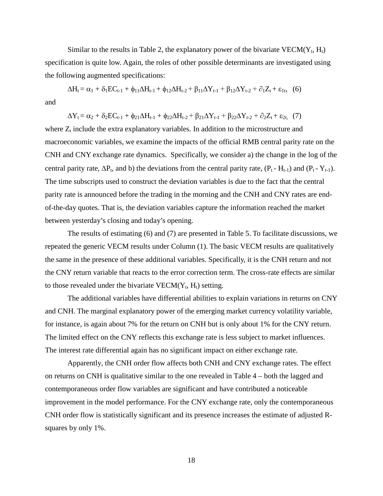Similar to the results in Table 2, the explanatory power of the bivariate VECM( $Y_t$ ,  $H_t$ ) specification is quite low. Again, the roles of other possible determinants are investigated using the following augmented specifications:

$$
\Delta H_t = \alpha_1 + \delta_1 EC_{t-1} + \phi_{11}\Delta H_{t-1} + \phi_{12}\Delta H_{t-2} + \beta_{11}\Delta Y_{t-1} + \beta_{12}\Delta Y_{t-2} + \partial_1 Z_t + \epsilon_{1t}, \quad (6)
$$

and

$$
\Delta Y_{t} = \alpha_{2} + \delta_{2} EC_{t-1} + \phi_{21}\Delta H_{t-1} + \phi_{22}\Delta H_{t-2} + \beta_{21}\Delta Y_{t-1} + \beta_{22}\Delta Y_{t-2} + \partial_{2}Z_{t} + \varepsilon_{2t} (7)
$$

where  $Z_t$  include the extra explanatory variables. In addition to the microstructure and macroeconomic variables, we examine the impacts of the official RMB central parity rate on the CNH and CNY exchange rate dynamics. Specifically, we consider a) the change in the log of the central parity rate,  $\Delta P_t$ , and b) the deviations from the central parity rate,  $(P_t - H_{t-1})$  and  $(P_t - Y_{t-1})$ . The time subscripts used to construct the deviation variables is due to the fact that the central parity rate is announced before the trading in the morning and the CNH and CNY rates are endof-the-day quotes. That is, the deviation variables capture the information reached the market between yesterday's closing and today's opening.

The results of estimating (6) and (7) are presented in Table 5. To facilitate discussions, we repeated the generic VECM results under Column (1). The basic VECM results are qualitatively the same in the presence of these additional variables. Specifically, it is the CNH return and not the CNY return variable that reacts to the error correction term. The cross-rate effects are similar to those revealed under the bivariate  $VECM(Y_t, H_t)$  setting.

The additional variables have differential abilities to explain variations in returns on CNY and CNH. The marginal explanatory power of the emerging market currency volatility variable, for instance, is again about 7% for the return on CNH but is only about 1% for the CNY return. The limited effect on the CNY reflects this exchange rate is less subject to market influences. The interest rate differential again has no significant impact on either exchange rate.

Apparently, the CNH order flow affects both CNH and CNY exchange rates. The effect on returns on CNH is qualitative similar to the one revealed in Table 4 – both the lagged and contemporaneous order flow variables are significant and have contributed a noticeable improvement in the model performance. For the CNY exchange rate, only the contemporaneous CNH order flow is statistically significant and its presence increases the estimate of adjusted Rsquares by only 1%.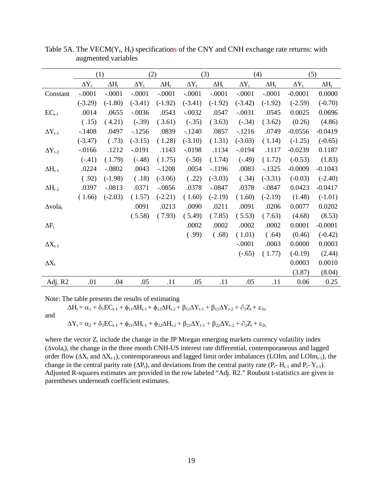|                         | (1)            |              |              | (2)          | (3)          |              |              | (4)          | (5)          |              |
|-------------------------|----------------|--------------|--------------|--------------|--------------|--------------|--------------|--------------|--------------|--------------|
|                         | $\Delta Y_{t}$ | $\Delta H_t$ | $\Delta Y_t$ | $\Delta H_t$ | $\Delta Y_t$ | $\Delta H_t$ | $\Delta Y_t$ | $\Delta H_t$ | $\Delta Y_t$ | $\Delta H_t$ |
| Constant                | $-.0001$       | $-.0001$     | $-.0001$     | $-.0001$     | $-.0001$     | $-.0001$     | $-.0001$     | $-.0001$     | $-0.0001$    | 0.0000       |
|                         | $(-3.29)$      | $(-1.80)$    | $(-3.41)$    | $(-1.92)$    | $(-3.41)$    | $(-1.92)$    | $(-3.42)$    | $(-1.92)$    | $(-2.59)$    | $(-0.70)$    |
| $EC_{t-1}$              | .0014          | .0655        | $-.0036$     | .0543        | $-.0032$     | .0547        | $-.0031$     | .0545        | 0.0025       | 0.0696       |
|                         | (.15)          | (4.21)       | $(-.39)$     | (3.61)       | $(-.35)$     | (3.63)       | $(-.34)$     | (3.62)       | (0.26)       | (4.86)       |
| $\Delta Y_{t-1}$        | $-.1408$       | .0497        | $-1256$      | .0839        | $-.1240$     | .0857        | $-1216$      | .0749        | $-0.0556$    | $-0.0419$    |
|                         | $(-3.47)$      | (.73)        | $(-3.15)$    | (1.28)       | $(-3.10)$    | (1.31)       | $(-3.03)$    | (1.14)       | $(-1.25)$    | $(-0.65)$    |
| $\Delta Y_{t-2}$        | $-0.0166$      | .1212        | $-0191$      | .1143        | $-.0198$     | .1134        | $-0.0194$    | .1117        | $-0.0239$    | 0.1187       |
|                         | $(-.41)$       | (1.79)       | $(-.48)$     | (1.75)       | $(-.50)$     | (1.74)       | $(-.49)$     | (1.72)       | $(-0.53)$    | (1.83)       |
| $\Delta H_{t-1}$        | .0224          | $-.0802$     | .0043        | $-.1208$     | .0054        | $-1196$      | .0083        | $-1325$      | $-0.0009$    | $-0.1043$    |
|                         | (.92)          | $(-1.98)$    | (.18)        | $(-3.06)$    | (.22)        | $(-3.03)$    | (.34)        | $(-3.31)$    | $(-0.03)$    | $(-2.40)$    |
| $\Delta H_{t-2}$        | .0397          | $-.0813$     | .0371        | $-0.0856$    | .0378        | $-.0847$     | .0378        | $-.0847$     | 0.0423       | $-0.0417$    |
|                         | (1.66)         | $(-2.03)$    | (1.57)       | $(-2.21)$    | (1.60)       | $(-2.19)$    | (1.60)       | $(-2.19)$    | (1.48)       | $(-1.01)$    |
| $\Delta \text{vol} a_t$ |                |              | .0091        | .0213        | .0090        | .0211        | .0091        | .0206        | 0.0077       | 0.0202       |
|                         |                |              | (5.58)       | (7.93)       | (5.49)       | (7.85)       | (5.53)       | (7.63)       | (4.68)       | (8.53)       |
| $\Delta F_t$            |                |              |              |              | .0002        | .0002        | .0002        | .0002        | 0.0001       | $-0.0001$    |
|                         |                |              |              |              | (.99)        | (.68)        | (1.01)       | (.64)        | (0.46)       | $(-0.42)$    |
| $\Delta X_{t-1}$        |                |              |              |              |              |              | $-.0001$     | .0003        | 0.0000       | 0.0003       |
|                         |                |              |              |              |              |              | $(-.65)$     | (1.77)       | $(-0.19)$    | (2.44)       |
| $\Delta X_t$            |                |              |              |              |              |              |              |              | 0.0003       | 0.0010       |
|                         |                |              |              |              |              |              |              |              | (3.87)       | (8.04)       |
| Adj. R2                 | .01            | .04          | .05          | .11          | .05          | .11          | .05          | .11          | 0.06         | 0.25         |

Table 5A. The VECM( $Y_t$ ,  $H_t$ ) specifications of the CNY and CNH exchange rate returns: with augmented variables

Note: The table presents the results of estimating

and

 $\Delta H_t = \alpha_1 + \delta_1 EC_{t-1} + \phi_{11}\Delta H_{t-1} + \phi_{12}\Delta H_{t-2} + \beta_{11}\Delta Y_{t-1} + \beta_{12}\Delta Y_{t-2} + \partial_1Z_t + \varepsilon_{1t}$  $\Delta Y_t = \alpha_2 + \delta_2 EC_{t-1} + \phi_{21}\Delta H_{t-1} + \phi_{22}\Delta H_{t-2} + \beta_{21}\Delta Y_{t-1} + \beta_{22}\Delta Y_{t-2} + \partial_2Z_t + \varepsilon_{2t}$ 

where the vector  $Z_t$  include the change in the JP Morgan emerging markets currency volatility index (∆volat), the change in the three month CNH-US interest rate differential, contemporaneous and lagged order flow ( $\Delta X_t$  and  $\Delta X_{t-1}$ ), contemporaneous and lagged limit order imbalances (LOIm<sub>t</sub> and LOIm<sub>t-1</sub>), the change in the central parity rate ( $\Delta P_t$ ), and deviations from the central parity rate ( $P_t$ -  $H_{t-1}$  and  $P_t$ -  $Y_{t-1}$ ). Adjusted R-squares estimates are provided in the row labeled "Adj. R2." Roubust t-statistics are given in parentheses underneath coefficient estimates.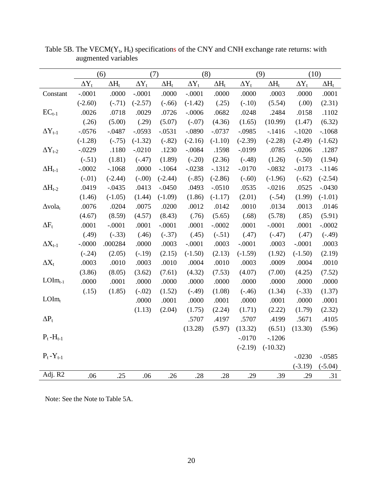|                         |              | (6)          | (7)          |              | (8)          |              |              | (9)          | (10)         |              |
|-------------------------|--------------|--------------|--------------|--------------|--------------|--------------|--------------|--------------|--------------|--------------|
|                         | $\Delta Y_t$ | $\Delta H_t$ | $\Delta Y_t$ | $\Delta H_t$ | $\Delta Y_t$ | $\Delta H_t$ | $\Delta Y_t$ | $\Delta H_t$ | $\Delta Y_t$ | $\Delta H_t$ |
| Constant                | $-.0001$     | .0000        | $-.0001$     | .0000        | $-.0001$     | .0000        | .0000        | .0003        | .0000        | .0001        |
|                         | $(-2.60)$    | $(-.71)$     | $(-2.57)$    | $(-.66)$     | $(-1.42)$    | (.25)        | $(-.10)$     | (5.54)       | (.00)        | (2.31)       |
| $EC_{t-1}$              | .0026        | .0718        | .0029        | .0726        | $-.0006$     | .0682        | .0248        | .2484        | .0158        | .1102        |
|                         | (.26)        | (5.00)       | (.29)        | (5.07)       | $(-.07)$     | (4.36)       | (1.65)       | (10.99)      | (1.47)       | (6.32)       |
| $\Delta Y_{t-1}$        | $-.0576$     | $-.0487$     | $-.0593$     | $-.0531$     | $-.0890$     | $-.0737$     | $-.0985$     | $-1416$      | $-.1020$     | $-1068$      |
|                         | $(-1.28)$    | $(-.75)$     | $(-1.32)$    | $(-.82)$     | $(-2.16)$    | $(-1.10)$    | $(-2.39)$    | $(-2.28)$    | $(-2.49)$    | $(-1.62)$    |
| $\Delta Y_{t-2}$        | $-.0229$     | .1180        | $-.0210$     | .1230        | $-.0084$     | .1598        | $-0.0199$    | .0785        | $-.0206$     | .1287        |
|                         | $(-.51)$     | (1.81)       | $(-.47)$     | (1.89)       | $(-.20)$     | (2.36)       | $(-.48)$     | (1.26)       | $(-.50)$     | (1.94)       |
| $\Delta H_{t-1}$        | $-.0002$     | $-.1068$     | .0000        | $-1064$      | $-.0238$     | $-1312$      | $-0170$      | $-.0832$     | $-0.0173$    | $-1146$      |
|                         | $(-.01)$     | $(-2.44)$    | $(-.00)$     | $(-2.44)$    | $(-.85)$     | $(-2.86)$    | $(-.60)$     | $(-1.96)$    | $(-.62)$     | $(-2.54)$    |
| $\Delta H_{t-2}$        | .0419        | $-.0435$     | .0413        | $-.0450$     | .0493        | $-.0510$     | .0535        | $-.0216$     | .0525        | $-.0430$     |
|                         | (1.46)       | $(-1.05)$    | (1.44)       | $(-1.09)$    | (1.86)       | $(-1.17)$    | (2.01)       | $(-.54)$     | (1.99)       | $(-1.01)$    |
| $\Delta \text{vol} a_t$ | .0076        | .0204        | .0075        | .0200        | .0012        | .0142        | .0010        | .0134        | .0013        | .0146        |
|                         | (4.67)       | (8.59)       | (4.57)       | (8.43)       | (.76)        | (5.65)       | (.68)        | (5.78)       | (.85)        | (5.91)       |
| $\Delta F_t$            | .0001        | $-.0001$     | .0001        | $-.0001$     | .0001        | $-.0002$     | .0001        | $-.0001$     | .0001        | $-.0002$     |
|                         | (.49)        | $(-.33)$     | (.46)        | $(-.37)$     | (.45)        | $(-.51)$     | (.47)        | $(-.47)$     | (.47)        | $(-.49)$     |
| $\Delta X_{t-1}$        | $-.0000$     | .000284      | .0000        | .0003        | $-.0001$     | .0003        | $-.0001$     | .0003        | $-.0001$     | .0003        |
|                         | $(-.24)$     | (2.05)       | $(-.19)$     | (2.15)       | $(-1.50)$    | (2.13)       | $(-1.59)$    | (1.92)       | $(-1.50)$    | (2.19)       |
| $\Delta X_t$            | .0003        | .0010        | .0003        | .0010        | .0004        | .0010        | .0003        | .0009        | .0004        | .0010        |
|                         | (3.86)       | (8.05)       | (3.62)       | (7.61)       | (4.32)       | (7.53)       | (4.07)       | (7.00)       | (4.25)       | (7.52)       |
| $LOIm_{t-1}$            | .0000        | .0001        | .0000        | .0000        | .0000        | .0000        | .0000        | .0000        | .0000        | .0000        |
|                         | (.15)        | (1.85)       | $(-.02)$     | (1.52)       | $(-.49)$     | (1.08)       | $(-.46)$     | (1.34)       | $(-.33)$     | (1.37)       |
| $LOIm_t$                |              |              | .0000        | .0001        | .0000        | .0001        | .0000        | .0001        | .0000        | .0001        |
|                         |              |              | (1.13)       | (2.04)       | (1.75)       | (2.24)       | (1.71)       | (2.22)       | (1.79)       | (2.32)       |
| $\Delta P_t$            |              |              |              |              | .5707        | .4197        | .5707        | .4199        | .5671        | .4105        |
|                         |              |              |              |              | (13.28)      | (5.97)       | (13.32)      | (6.51)       | (13.30)      | (5.96)       |
| $P_t - H_{t-1}$         |              |              |              |              |              |              | $-0170$      | $-.1206$     |              |              |
|                         |              |              |              |              |              |              | $(-2.19)$    | $(-10.32)$   |              |              |
| $P_t - Y_{t-1}$         |              |              |              |              |              |              |              |              | $-.0230$     | $-0.0585$    |
|                         |              |              |              |              |              |              |              |              | $(-3.19)$    | $(-5.04)$    |
| Adj. R2                 | .06          | .25          | .06          | .26          | .28          | .28          | .29          | .39          | .29          | .31          |

Table 5B. The VECM( $Y_t$ ,  $H_t$ ) specifications of the CNY and CNH exchange rate returns: with augmented variables

Note: See the Note to Table 5A.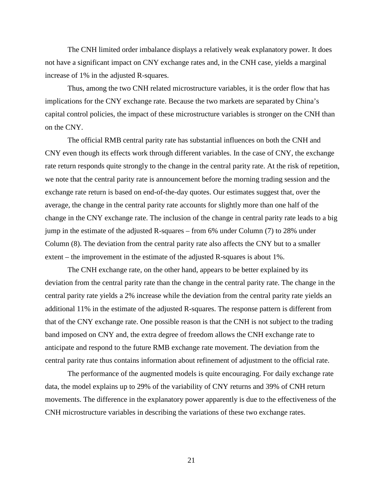The CNH limited order imbalance displays a relatively weak explanatory power. It does not have a significant impact on CNY exchange rates and, in the CNH case, yields a marginal increase of 1% in the adjusted R-squares.

Thus, among the two CNH related microstructure variables, it is the order flow that has implications for the CNY exchange rate. Because the two markets are separated by China's capital control policies, the impact of these microstructure variables is stronger on the CNH than on the CNY.

The official RMB central parity rate has substantial influences on both the CNH and CNY even though its effects work through different variables. In the case of CNY, the exchange rate return responds quite strongly to the change in the central parity rate. At the risk of repetition, we note that the central parity rate is announcement before the morning trading session and the exchange rate return is based on end-of-the-day quotes. Our estimates suggest that, over the average, the change in the central parity rate accounts for slightly more than one half of the change in the CNY exchange rate. The inclusion of the change in central parity rate leads to a big jump in the estimate of the adjusted R-squares – from 6% under Column (7) to 28% under Column (8). The deviation from the central parity rate also affects the CNY but to a smaller extent – the improvement in the estimate of the adjusted R-squares is about 1%.

The CNH exchange rate, on the other hand, appears to be better explained by its deviation from the central parity rate than the change in the central parity rate. The change in the central parity rate yields a 2% increase while the deviation from the central parity rate yields an additional 11% in the estimate of the adjusted R-squares. The response pattern is different from that of the CNY exchange rate. One possible reason is that the CNH is not subject to the trading band imposed on CNY and, the extra degree of freedom allows the CNH exchange rate to anticipate and respond to the future RMB exchange rate movement. The deviation from the central parity rate thus contains information about refinement of adjustment to the official rate.

The performance of the augmented models is quite encouraging. For daily exchange rate data, the model explains up to 29% of the variability of CNY returns and 39% of CNH return movements. The difference in the explanatory power apparently is due to the effectiveness of the CNH microstructure variables in describing the variations of these two exchange rates.

21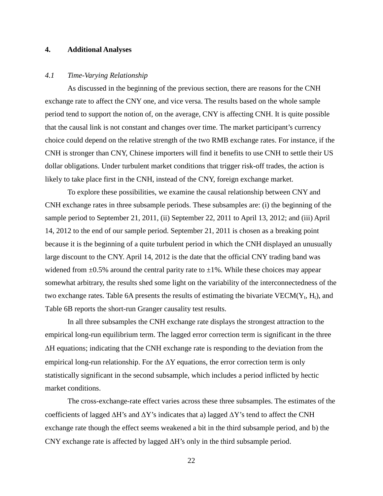## **4. Additional Analyses**

#### *4.1 Time-Varying Relationship*

As discussed in the beginning of the previous section, there are reasons for the CNH exchange rate to affect the CNY one, and vice versa. The results based on the whole sample period tend to support the notion of, on the average, CNY is affecting CNH. It is quite possible that the causal link is not constant and changes over time. The market participant's currency choice could depend on the relative strength of the two RMB exchange rates. For instance, if the CNH is stronger than CNY, Chinese importers will find it benefits to use CNH to settle their US dollar obligations. Under turbulent market conditions that trigger risk-off trades, the action is likely to take place first in the CNH, instead of the CNY, foreign exchange market.

To explore these possibilities, we examine the causal relationship between CNY and CNH exchange rates in three subsample periods. These subsamples are: (i) the beginning of the sample period to September 21, 2011, (ii) September 22, 2011 to April 13, 2012; and (iii) April 14, 2012 to the end of our sample period. September 21, 2011 is chosen as a breaking point because it is the beginning of a quite turbulent period in which the CNH displayed an unusually large discount to the CNY. April 14, 2012 is the date that the official CNY trading band was widened from  $\pm 0.5\%$  around the central parity rate to  $\pm 1\%$ . While these choices may appear somewhat arbitrary, the results shed some light on the variability of the interconnectedness of the two exchange rates. Table 6A presents the results of estimating the bivariate VECM( $Y_t$ ,  $H_t$ ), and Table 6B reports the short-run Granger causality test results.

In all three subsamples the CNH exchange rate displays the strongest attraction to the empirical long-run equilibrium term. The lagged error correction term is significant in the three ∆H equations; indicating that the CNH exchange rate is responding to the deviation from the empirical long-run relationship. For the  $\Delta Y$  equations, the error correction term is only statistically significant in the second subsample, which includes a period inflicted by hectic market conditions.

The cross-exchange-rate effect varies across these three subsamples. The estimates of the coefficients of lagged ∆H's and ∆Y's indicates that a) lagged ∆Y's tend to affect the CNH exchange rate though the effect seems weakened a bit in the third subsample period, and b) the CNY exchange rate is affected by lagged ∆H's only in the third subsample period.

22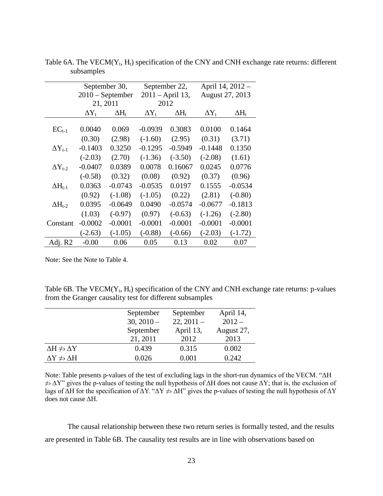|                  | September 30, |                    |              | September 22,      |                 | April 14, 2012 - |  |  |
|------------------|---------------|--------------------|--------------|--------------------|-----------------|------------------|--|--|
|                  |               | $2010$ – September |              | $2011 - April 13,$ | August 27, 2013 |                  |  |  |
|                  | 21, 2011      |                    |              | 2012               |                 |                  |  |  |
|                  | $\Delta Y_t$  | $\Delta H_{\rm t}$ | $\Delta Y_t$ | $\Delta H_t$       | $\Delta Y_t$    | $\Delta H_t$     |  |  |
|                  |               |                    |              |                    |                 |                  |  |  |
| $EC_{t-1}$       | 0.0040        | 0.069              | $-0.0939$    | 0.3083             | 0.0100          | 0.1464           |  |  |
|                  | (0.30)        | (2.98)             | $(-1.60)$    | (2.95)             | (0.31)          | (3.71)           |  |  |
| $\Delta Y_{t-1}$ | $-0.1403$     | 0.3250             | $-0.1295$    | $-0.5949$          | $-0.1448$       | 0.1350           |  |  |
|                  | $(-2.03)$     | (2.70)             | $(-1.36)$    | $(-3.50)$          | $(-2.08)$       | (1.61)           |  |  |
| $\Delta Y_{t-2}$ | $-0.0407$     | 0.0389             | 0.0078       | 0.16067            | 0.0245          | 0.0776           |  |  |
|                  | $(-0.58)$     | (0.32)             | (0.08)       | (0.92)             | (0.37)          | (0.96)           |  |  |
| $\Delta H_{t-1}$ | 0.0363        | $-0.0743$          | $-0.0535$    | 0.0197             | 0.1555          | $-0.0534$        |  |  |
|                  | (0.92)        | $(-1.08)$          | $(-1.05)$    | (0.22)             | (2.81)          | $(-0.80)$        |  |  |
| $\Delta H_{t-2}$ | 0.0395        | $-0.0649$          | 0.0490       | $-0.0574$          | $-0.0677$       | $-0.1813$        |  |  |
|                  | (1.03)        | $(-0.97)$          | (0.97)       | $(-0.63)$          | $(-1.26)$       | $(-2.80)$        |  |  |
| Constant         | $-0.0002$     | $-0.0001$          | $-0.0001$    | $-0.0001$          | $-0.0001$       | $-0.0001$        |  |  |
|                  | $(-2.63)$     | $(-1.05)$          | $(-0.88)$    | $(-0.66)$          | $(-2.03)$       | $(-1.72)$        |  |  |
| Adj. R2          | $-0.00$       | 0.06               | 0.05         | 0.13               | 0.02            | 0.07             |  |  |

Table 6A. The VECM( $Y_t$ ,  $H_t$ ) specification of the CNY and CNH exchange rate returns: different subsamples

Note: See the Note to Table 4.

Table 6B. The VECM( $Y_t$ ,  $H_t$ ) specification of the CNY and CNH exchange rate returns: p-values from the Granger causality test for different subsamples

|                          | September    | September    | April 14,  |
|--------------------------|--------------|--------------|------------|
|                          | $30, 2010 -$ | $22, 2011 -$ | $2012 -$   |
|                          | September    | April 13,    | August 27, |
|                          | 21, 2011     | 2012         | 2013       |
| $\Delta H \neq \Delta Y$ | 0.439        | 0.315        | 0.002      |
| $\Delta Y \neq \Delta H$ | 0.026        | 0.001        | 0.242      |

Note: Table presents p-values of the test of excluding lags in the short-run dynamics of the VECM. "ΔH  $\neq$   $\Delta$ Y" gives the p-values of testing the null hypothesis of  $\Delta$ H does not cause  $\Delta$ Y; that is, the exclusion of lags of  $\Delta H$  for the specification of  $\Delta Y$ . " $\Delta Y \neq \Delta H$ " gives the p-values of testing the null hypothesis of  $\Delta Y$ does not cause ΔH.

The causal relationship between these two return series is formally tested, and the results are presented in Table 6B. The causality test results are in line with observations based on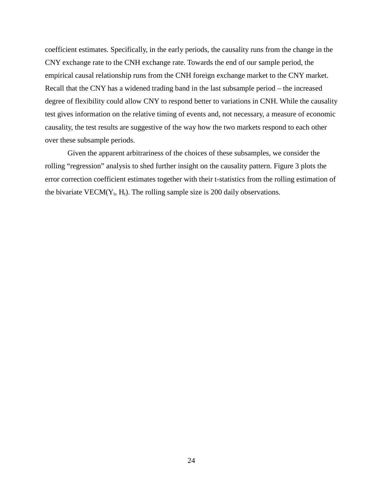coefficient estimates. Specifically, in the early periods, the causality runs from the change in the CNY exchange rate to the CNH exchange rate. Towards the end of our sample period, the empirical causal relationship runs from the CNH foreign exchange market to the CNY market. Recall that the CNY has a widened trading band in the last subsample period – the increased degree of flexibility could allow CNY to respond better to variations in CNH. While the causality test gives information on the relative timing of events and, not necessary, a measure of economic causality, the test results are suggestive of the way how the two markets respond to each other over these subsample periods.

Given the apparent arbitrariness of the choices of these subsamples, we consider the rolling "regression" analysis to shed further insight on the causality pattern. Figure 3 plots the error correction coefficient estimates together with their t-statistics from the rolling estimation of the bivariate VECM( $Y_t$ ,  $H_t$ ). The rolling sample size is 200 daily observations.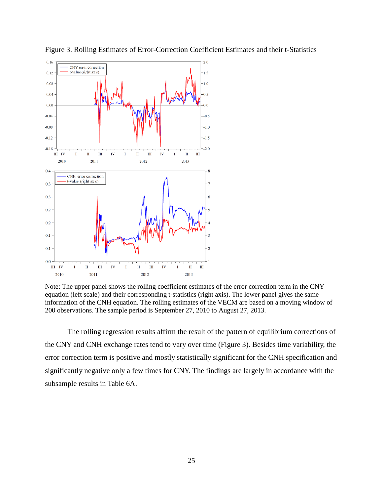

Figure 3. Rolling Estimates of Error-Correction Coefficient Estimates and their t-Statistics

Note: The upper panel shows the rolling coefficient estimates of the error correction term in the CNY equation (left scale) and their corresponding t-statistics (right axis). The lower panel gives the same information of the CNH equation. The rolling estimates of the VECM are based on a moving window of 200 observations. The sample period is September 27, 2010 to August 27, 2013.

The rolling regression results affirm the result of the pattern of equilibrium corrections of the CNY and CNH exchange rates tend to vary over time (Figure 3). Besides time variability, the error correction term is positive and mostly statistically significant for the CNH specification and significantly negative only a few times for CNY. The findings are largely in accordance with the subsample results in Table 6A.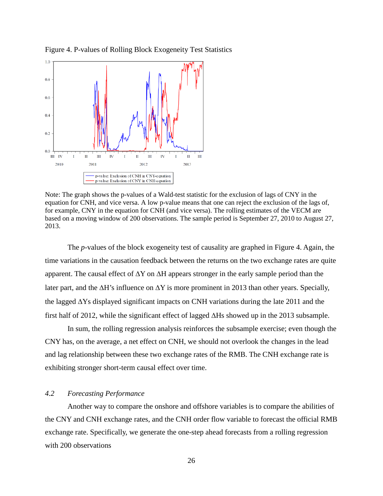

Figure 4. P-values of Rolling Block Exogeneity Test Statistics

Note: The graph shows the p-values of a Wald-test statistic for the exclusion of lags of CNY in the equation for CNH, and vice versa. A low p-value means that one can reject the exclusion of the lags of, for example, CNY in the equation for CNH (and vice versa). The rolling estimates of the VECM are based on a moving window of 200 observations. The sample period is September 27, 2010 to August 27, 2013.

The *p*-values of the block exogeneity test of causality are graphed in Figure 4. Again, the time variations in the causation feedback between the returns on the two exchange rates are quite apparent. The causal effect of ∆Y on ∆H appears stronger in the early sample period than the later part, and the ∆H's influence on ∆Y is more prominent in 2013 than other years. Specially, the lagged ∆Ys displayed significant impacts on CNH variations during the late 2011 and the first half of 2012, while the significant effect of lagged ∆Hs showed up in the 2013 subsample.

In sum, the rolling regression analysis reinforces the subsample exercise; even though the CNY has, on the average, a net effect on CNH, we should not overlook the changes in the lead and lag relationship between these two exchange rates of the RMB. The CNH exchange rate is exhibiting stronger short-term causal effect over time.

## *4.2 Forecasting Performance*

Another way to compare the onshore and offshore variables is to compare the abilities of the CNY and CNH exchange rates, and the CNH order flow variable to forecast the official RMB exchange rate. Specifically, we generate the one-step ahead forecasts from a rolling regression with 200 observations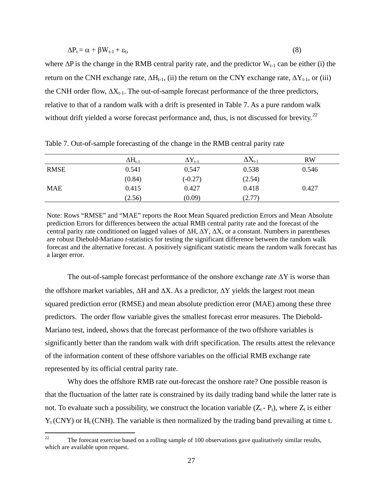$$
\Delta P_t = \alpha + \beta W_{t-1} + \varepsilon_t, \tag{8}
$$

where  $\Delta P$  is the change in the RMB central parity rate, and the predictor W<sub>t-1</sub> can be either (i) the return on the CNH exchange rate,  $\Delta H_{t-1}$ , (ii) the return on the CNY exchange rate,  $\Delta Y_{t-1}$ , or (iii) the CNH order flow,  $\Delta X_{t-1}$ . The out-of-sample forecast performance of the three predictors, relative to that of a random walk with a drift is presented in Table 7. As a pure random walk without drift yielded a worse forecast performance and, thus, is not discussed for brevity. $^{22}$  $^{22}$  $^{22}$ 

|             | $\Delta H_{t-1}$ | $\Delta Y_{t-1}$ | $\Delta X_{t-1}$ | <b>RW</b> |
|-------------|------------------|------------------|------------------|-----------|
| <b>RMSE</b> | 0.541            | 0.547            | 0.538            | 0.546     |
|             | (0.84)           | $(-0.27)$        | (2.54)           |           |
| <b>MAE</b>  | 0.415            | 0.427            | 0.418            | 0.427     |
|             | (2.56)           | (0.09)           | (2.77)           |           |

Table 7. Out-of-sample forecasting of the change in the RMB central parity rate

Note: Rows "RMSE" and "MAE" reports the Root Mean Squared prediction Errors and Mean Absolute prediction Errors for differences between the actual RMB central parity rate and the forecast of the central parity rate conditioned on lagged values of  $\Delta H$ ,  $\Delta Y$ ,  $\Delta X$ , or a constant. Numbers in parentheses are robust Diebold-Mariano *t*-statistics for testing the significant difference between the random walk forecast and the alternative forecast. A positively significant statistic means the random walk forecast has a larger error.

The out-of-sample forecast performance of the onshore exchange rate  $\Delta Y$  is worse than the offshore market variables, ΔH and ΔX. As a predictor, ΔY yields the largest root mean squared prediction error (RMSE) and mean absolute prediction error (MAE) among these three predictors. The order flow variable gives the smallest forecast error measures. The Diebold-Mariano test, indeed, shows that the forecast performance of the two offshore variables is significantly better than the random walk with drift specification. The results attest the relevance of the information content of these offshore variables on the official RMB exchange rate represented by its official central parity rate.

Why does the offshore RMB rate out-forecast the onshore rate? One possible reason is that the fluctuation of the latter rate is constrained by its daily trading band while the latter rate is not. To evaluate such a possibility, we construct the location variable  $(Z_t - P_t)$ , where  $Z_t$  is either  $Y_t$ (CNY) or H<sub>t</sub> (CNH). The variable is then normalized by the trading band prevailing at time t.

<span id="page-28-0"></span>The forecast exercise based on a rolling sample of 100 observations gave qualitatively similar results, which are available upon request.  $22$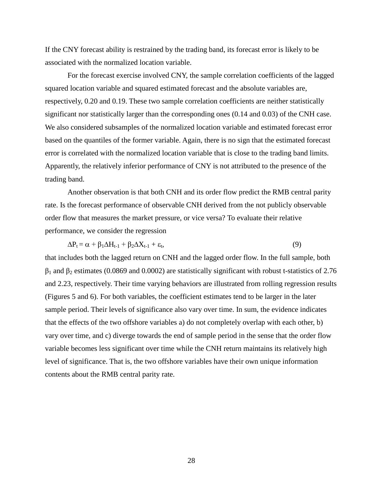If the CNY forecast ability is restrained by the trading band, its forecast error is likely to be associated with the normalized location variable.

For the forecast exercise involved CNY, the sample correlation coefficients of the lagged squared location variable and squared estimated forecast and the absolute variables are, respectively, 0.20 and 0.19. These two sample correlation coefficients are neither statistically significant nor statistically larger than the corresponding ones (0.14 and 0.03) of the CNH case. We also considered subsamples of the normalized location variable and estimated forecast error based on the quantiles of the former variable. Again, there is no sign that the estimated forecast error is correlated with the normalized location variable that is close to the trading band limits. Apparently, the relatively inferior performance of CNY is not attributed to the presence of the trading band.

Another observation is that both CNH and its order flow predict the RMB central parity rate. Is the forecast performance of observable CNH derived from the not publicly observable order flow that measures the market pressure, or vice versa? To evaluate their relative performance, we consider the regression

 $\Delta P_t = \alpha + \beta_1 \Delta H_{t-1} + \beta_2 \Delta X_{t-1} + \varepsilon_t,$ (9)

that includes both the lagged return on CNH and the lagged order flow. In the full sample, both  $β<sub>1</sub>$  and  $β<sub>2</sub>$  estimates (0.0869 and 0.0002) are statistically significant with robust t-statistics of 2.76 and 2.23, respectively. Their time varying behaviors are illustrated from rolling regression results (Figures 5 and 6). For both variables, the coefficient estimates tend to be larger in the later sample period. Their levels of significance also vary over time. In sum, the evidence indicates that the effects of the two offshore variables a) do not completely overlap with each other, b) vary over time, and c) diverge towards the end of sample period in the sense that the order flow variable becomes less significant over time while the CNH return maintains its relatively high level of significance. That is, the two offshore variables have their own unique information contents about the RMB central parity rate.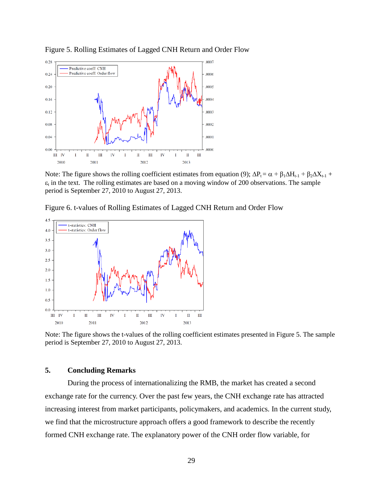

Figure 5. Rolling Estimates of Lagged CNH Return and Order Flow

Note: The figure shows the rolling coefficient estimates from equation (9);  $\Delta P_t = \alpha + \beta_1 \Delta H_{t-1} + \beta_2 \Delta X_{t-1}$  $\varepsilon_t$  in the text. The rolling estimates are based on a moving window of 200 observations. The sample period is September 27, 2010 to August 27, 2013.

Figure 6. t-values of Rolling Estimates of Lagged CNH Return and Order Flow



Note: The figure shows the t-values of the rolling coefficient estimates presented in Figure 5. The sample period is September 27, 2010 to August 27, 2013.

## **5. Concluding Remarks**

During the process of internationalizing the RMB, the market has created a second exchange rate for the currency. Over the past few years, the CNH exchange rate has attracted increasing interest from market participants, policymakers, and academics. In the current study, we find that the microstructure approach offers a good framework to describe the recently formed CNH exchange rate. The explanatory power of the CNH order flow variable, for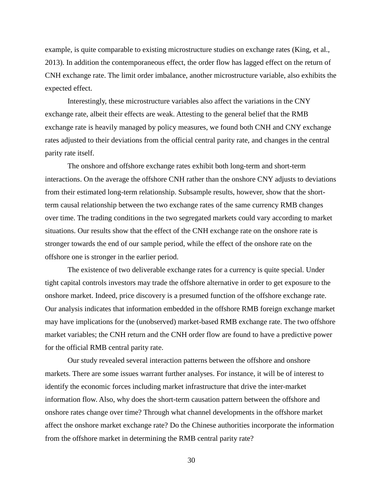example, is quite comparable to existing microstructure studies on exchange rates (King, et al., 2013). In addition the contemporaneous effect, the order flow has lagged effect on the return of CNH exchange rate. The limit order imbalance, another microstructure variable, also exhibits the expected effect.

Interestingly, these microstructure variables also affect the variations in the CNY exchange rate, albeit their effects are weak. Attesting to the general belief that the RMB exchange rate is heavily managed by policy measures, we found both CNH and CNY exchange rates adjusted to their deviations from the official central parity rate, and changes in the central parity rate itself.

The onshore and offshore exchange rates exhibit both long-term and short-term interactions. On the average the offshore CNH rather than the onshore CNY adjusts to deviations from their estimated long-term relationship. Subsample results, however, show that the shortterm causal relationship between the two exchange rates of the same currency RMB changes over time. The trading conditions in the two segregated markets could vary according to market situations. Our results show that the effect of the CNH exchange rate on the onshore rate is stronger towards the end of our sample period, while the effect of the onshore rate on the offshore one is stronger in the earlier period.

The existence of two deliverable exchange rates for a currency is quite special. Under tight capital controls investors may trade the offshore alternative in order to get exposure to the onshore market. Indeed, price discovery is a presumed function of the offshore exchange rate. Our analysis indicates that information embedded in the offshore RMB foreign exchange market may have implications for the (unobserved) market-based RMB exchange rate. The two offshore market variables; the CNH return and the CNH order flow are found to have a predictive power for the official RMB central parity rate.

Our study revealed several interaction patterns between the offshore and onshore markets. There are some issues warrant further analyses. For instance, it will be of interest to identify the economic forces including market infrastructure that drive the inter-market information flow. Also, why does the short-term causation pattern between the offshore and onshore rates change over time? Through what channel developments in the offshore market affect the onshore market exchange rate? Do the Chinese authorities incorporate the information from the offshore market in determining the RMB central parity rate?

30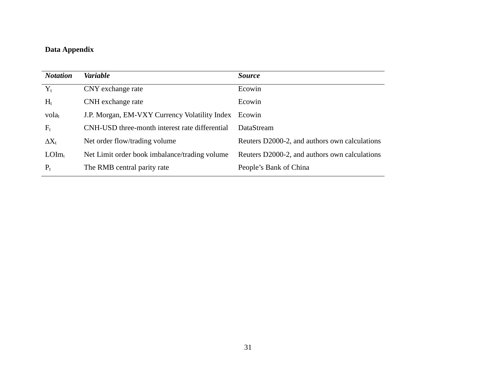# **Data Appendix**

| <b>Notation</b> | <b>Variable</b>                                | <b>Source</b>                                 |
|-----------------|------------------------------------------------|-----------------------------------------------|
| $Y_t$           | CNY exchange rate                              | Ecowin                                        |
| $H_t$           | CNH exchange rate                              | Ecowin                                        |
| $\text{vola}_t$ | J.P. Morgan, EM-VXY Currency Volatility Index  | Ecowin                                        |
| $F_t$           | CNH-USD three-month interest rate differential | DataStream                                    |
| $\Delta X_t$    | Net order flow/trading volume                  | Reuters D2000-2, and authors own calculations |
| $LOIm_t$        | Net Limit order book imbalance/trading volume  | Reuters D2000-2, and authors own calculations |
| $P_t$           | The RMB central parity rate                    | People's Bank of China                        |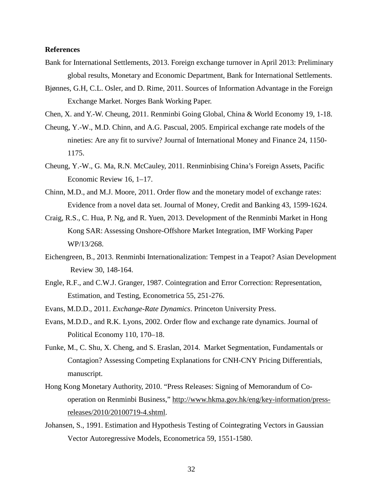#### **References**

- Bank for International Settlements, 2013. Foreign exchange turnover in April 2013: Preliminary global results, Monetary and Economic Department, Bank for International Settlements.
- Bjønnes, G.H, C.L. Osler, and D. Rime, 2011. Sources of Information Advantage in the Foreign Exchange Market. Norges Bank Working Paper.
- Chen, X. and Y.-W. Cheung, 2011. Renminbi Going Global, China & World Economy 19, 1-18.
- Cheung, Y.-W., M.D. Chinn, and A.G. Pascual, 2005. Empirical exchange rate models of the nineties: Are any fit to survive? Journal of International Money and Finance 24, 1150- 1175.
- Cheung, Y.-W., G. Ma, R.N. McCauley, 2011. Renminbising China's Foreign Assets, Pacific Economic Review 16, 1–17.
- Chinn, M.D., and M.J. Moore, 2011. Order flow and the monetary model of exchange rates: Evidence from a novel data set. Journal of Money, Credit and Banking 43, 1599-1624.
- Craig, R.S., C. Hua, P. Ng, and R. Yuen, 2013. Development of the Renminbi Market in Hong Kong SAR: Assessing Onshore-Offshore Market Integration, IMF Working Paper WP/13/268.
- Eichengreen, B., 2013. Renminbi Internationalization: Tempest in a Teapot? Asian Development Review 30, 148-164.
- Engle, R.F., and C.W.J. Granger, 1987. Cointegration and Error Correction: Representation, Estimation, and Testing, Econometrica 55, 251-276.
- Evans, M.D.D., 2011. *Exchange-Rate Dynamics*. Princeton University Press.
- Evans, M.D.D., and R.K. Lyons, 2002. Order flow and exchange rate dynamics. Journal of Political Economy 110, 170–18.
- Funke, M., C. Shu, X. Cheng, and S. Eraslan, 2014. Market Segmentation, Fundamentals or Contagion? Assessing Competing Explanations for CNH-CNY Pricing Differentials, manuscript.
- Hong Kong Monetary Authority, 2010. "Press Releases: Signing of Memorandum of Cooperation on Renminbi Business," [http://www.hkma.gov.hk/eng/key-information/press](http://www.hkma.gov.hk/eng/key-information/press-releases/2010/20100719-4.shtml)[releases/2010/20100719-4.shtml.](http://www.hkma.gov.hk/eng/key-information/press-releases/2010/20100719-4.shtml)
- Johansen, S., 1991. Estimation and Hypothesis Testing of Cointegrating Vectors in Gaussian Vector Autoregressive Models, Econometrica 59, 1551-1580.